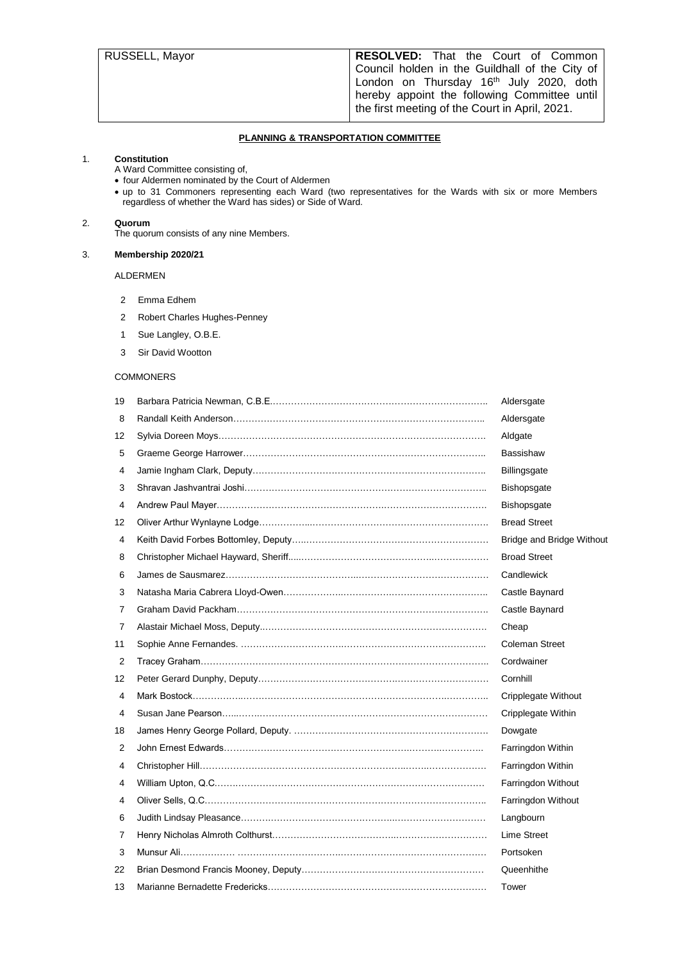| RUSSELL, Mayor | RESOLVED: That the Court of Common                  |
|----------------|-----------------------------------------------------|
|                | Council holden in the Guildhall of the City of      |
|                | London on Thursday 16 <sup>th</sup> July 2020, doth |
|                | hereby appoint the following Committee until        |
|                | the first meeting of the Court in April, 2021.      |
|                |                                                     |

## **PLANNING & TRANSPORTATION COMMITTEE**

## 1. **Constitution**

- A Ward Committee consisting of,
- four Aldermen nominated by the Court of Aldermen
- up to 31 Commoners representing each Ward (two representatives for the Wards with six or more Members regardless of whether the Ward has sides) or Side of Ward.

## 2. **Quorum**

The quorum consists of any nine Members.

## 3. **Membership 2020/21**

## ALDERMEN

- Emma Edhem
- Robert Charles Hughes-Penney
- Sue Langley, O.B.E.
- Sir David Wootton

#### **COMMONERS**

| 19 |                                                 | Aldersgate                       |
|----|-------------------------------------------------|----------------------------------|
| 8  |                                                 | Aldersgate                       |
| 12 |                                                 | Aldgate                          |
| 5  |                                                 | <b>Bassishaw</b>                 |
| 4  |                                                 | <b>Billingsgate</b>              |
| 3  |                                                 | <b>Bishopsgate</b>               |
| 4  |                                                 | <b>Bishopsgate</b>               |
| 12 |                                                 | <b>Bread Street</b>              |
| 4  |                                                 | <b>Bridge and Bridge Without</b> |
| 8  |                                                 | <b>Broad Street</b>              |
| 6  |                                                 | Candlewick                       |
| 3  |                                                 | Castle Baynard                   |
| 7  |                                                 | Castle Baynard                   |
| 7  |                                                 | Cheap                            |
| 11 |                                                 | <b>Coleman Street</b>            |
| 2  |                                                 | Cordwainer                       |
| 12 |                                                 | Cornhill                         |
| 4  |                                                 | Cripplegate Without              |
| 4  |                                                 | Cripplegate Within               |
| 18 |                                                 | Dowgate                          |
| 2  |                                                 | Farringdon Within                |
| 4  |                                                 | Farringdon Within                |
| 4  |                                                 | Farringdon Without               |
| 4  | Oliver Sells. Q.C……………………………………………………………………………… | Farringdon Without               |
| 6  |                                                 | Langbourn                        |
| 7  |                                                 | Lime Street                      |
| 3  |                                                 | Portsoken                        |
| 22 |                                                 | Queenhithe                       |
| 13 |                                                 | Tower                            |